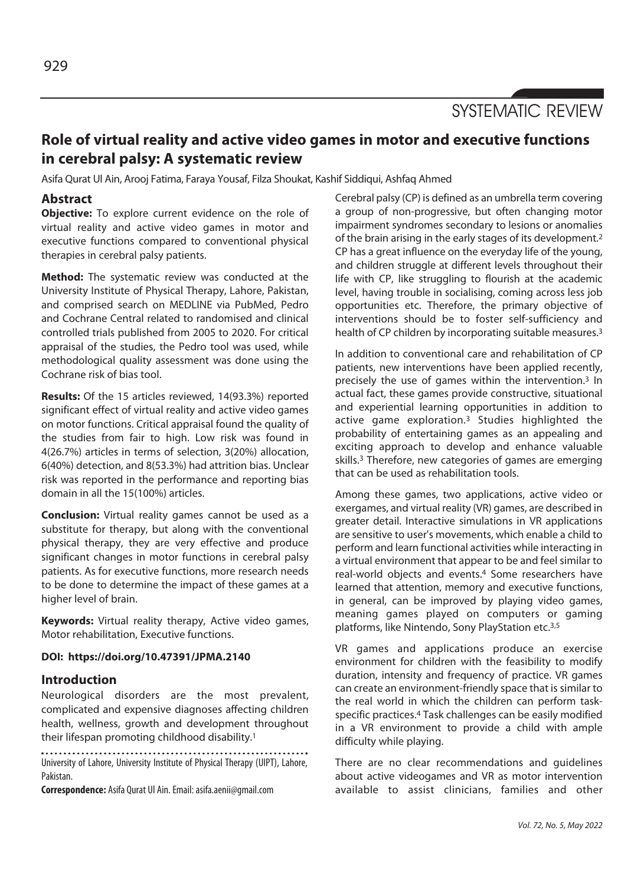SYSTEMATIC REVIEW

# **Role of virtual reality and active video games in motor and executive functions in cerebral palsy: A systematic review**

Asifa Qurat Ul Ain, Arooj Fatima, Faraya Yousaf, Filza Shoukat, Kashif Siddiqui, Ashfaq Ahmed

# **Abstract**

**Objective:** To explore current evidence on the role of virtual reality and active video games in motor and executive functions compared to conventional physical therapies in cerebral palsy patients.

**Method:** The systematic review was conducted at the University Institute of Physical Therapy, Lahore, Pakistan, and comprised search on MEDLINE via PubMed, Pedro and Cochrane Central related to randomised and clinical controlled trials published from 2005 to 2020. For critical appraisal of the studies, the Pedro tool was used, while methodological quality assessment was done using the Cochrane risk of bias tool.

**Results:** Of the 15 articles reviewed, 14(93.3%) reported significant effect of virtual reality and active video games on motor functions. Critical appraisal found the quality of the studies from fair to high. Low risk was found in 4(26.7%) articles in terms of selection, 3(20%) allocation, 6(40%) detection, and 8(53.3%) had attrition bias. Unclear risk was reported in the performance and reporting bias domain in all the 15(100%) articles.

**Conclusion:** Virtual reality games cannot be used as a substitute for therapy, but along with the conventional physical therapy, they are very effective and produce significant changes in motor functions in cerebral palsy patients. As for executive functions, more research needs to be done to determine the impact of these games at a higher level of brain.

**Keywords:** Virtual reality therapy, Active video games, Motor rehabilitation, Executive functions.

### **DOI: https://doi.org/10.47391/JPMA.2140**

## **Introduction**

Neurological disorders are the most prevalent, complicated and expensive diagnoses affecting children health, wellness, growth and development throughout their lifespan promoting childhood disability.1

University of Lahore, University Institute of Physical Therapy (UIPT), Lahore, Pakistan.

**Correspondence:** Asifa Qurat Ul Ain. Email: asifa.aenii@gmail.com

Cerebral palsy (CP) is defined as an umbrella term covering a group of non-progressive, but often changing motor impairment syndromes secondary to lesions or anomalies of the brain arising in the early stages of its development.2 CP has a great influence on the everyday life of the young, and children struggle at different levels throughout their life with CP, like struggling to flourish at the academic level, having trouble in socialising, coming across less job opportunities etc. Therefore, the primary objective of interventions should be to foster self-sufficiency and health of CP children by incorporating suitable measures.3

In addition to conventional care and rehabilitation of CP patients, new interventions have been applied recently, precisely the use of games within the intervention.3 In actual fact, these games provide constructive, situational and experiential learning opportunities in addition to active game exploration.3 Studies highlighted the probability of entertaining games as an appealing and exciting approach to develop and enhance valuable skills.3 Therefore, new categories of games are emerging that can be used as rehabilitation tools.

Among these games, two applications, active video or exergames, and virtual reality (VR) games, are described in greater detail. Interactive simulations in VR applications are sensitive to user's movements, which enable a child to perform and learn functional activities while interacting in a virtual environment that appear to be and feel similar to real-world objects and events.4 Some researchers have learned that attention, memory and executive functions, in general, can be improved by playing video games, meaning games played on computers or gaming platforms, like Nintendo, Sony PlayStation etc.3,5

VR games and applications produce an exercise environment for children with the feasibility to modify duration, intensity and frequency of practice. VR games can create an environment-friendly space that is similar to the real world in which the children can perform taskspecific practices.4 Task challenges can be easily modified in a VR environment to provide a child with ample difficulty while playing.

There are no clear recommendations and guidelines about active videogames and VR as motor intervention available to assist clinicians, families and other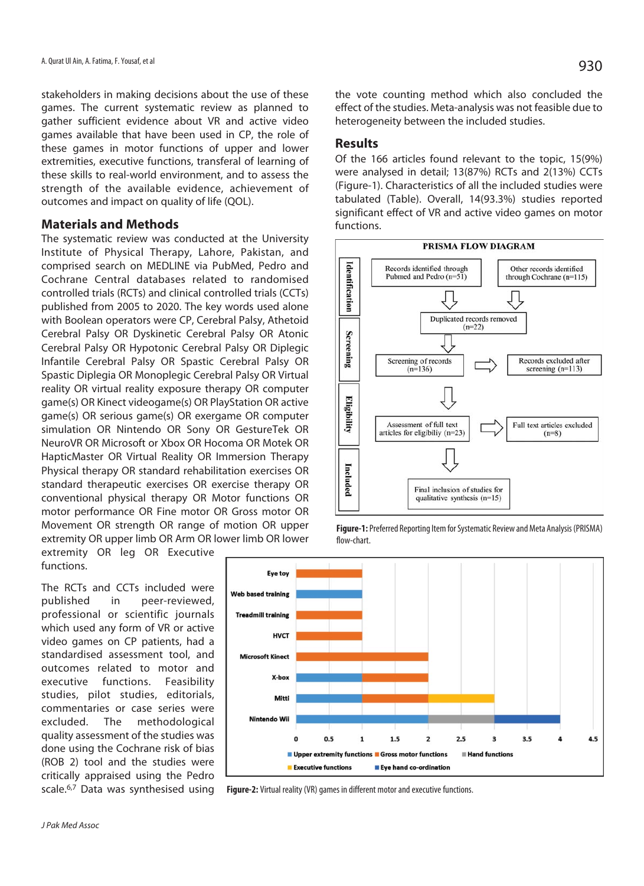stakeholders in making decisions about the use of these games. The current systematic review as planned to gather sufficient evidence about VR and active video games available that have been used in CP, the role of these games in motor functions of upper and lower extremities, executive functions, transferal of learning of these skills to real-world environment, and to assess the strength of the available evidence, achievement of outcomes and impact on quality of life (QOL).

#### **Materials and Methods**

The systematic review was conducted at the University Institute of Physical Therapy, Lahore, Pakistan, and comprised search on MEDLINE via PubMed, Pedro and Cochrane Central databases related to randomised controlled trials (RCTs) and clinical controlled trials (CCTs) published from 2005 to 2020. The key words used alone with Boolean operators were CP, Cerebral Palsy, Athetoid Cerebral Palsy OR Dyskinetic Cerebral Palsy OR Atonic Cerebral Palsy OR Hypotonic Cerebral Palsy OR Diplegic Infantile Cerebral Palsy OR Spastic Cerebral Palsy OR Spastic Diplegia OR Monoplegic Cerebral Palsy OR Virtual reality OR virtual reality exposure therapy OR computer game(s) OR Kinect videogame(s) OR PlayStation OR active game(s) OR serious game(s) OR exergame OR computer simulation OR Nintendo OR Sony OR GestureTek OR NeuroVR OR Microsoft or Xbox OR Hocoma OR Motek OR HapticMaster OR Virtual Reality OR Immersion Therapy Physical therapy OR standard rehabilitation exercises OR standard therapeutic exercises OR exercise therapy OR conventional physical therapy OR Motor functions OR motor performance OR Fine motor OR Gross motor OR Movement OR strength OR range of motion OR upper extremity OR upper limb OR Arm OR lower limb OR lower

extremity OR leg OR Executive functions.

The RCTs and CCTs included were published in peer-reviewed, professional or scientific journals which used any form of VR or active video games on CP patients, had a standardised assessment tool, and outcomes related to motor and executive functions. Feasibility studies, pilot studies, editorials, commentaries or case series were excluded. The methodological quality assessment of the studies was done using the Cochrane risk of bias (ROB 2) tool and the studies were critically appraised using the Pedro scale.<sup>6,7</sup> Data was synthesised using



the vote counting method which also concluded the effect of the studies. Meta-analysis was not feasible due to heterogeneity between the included studies.

#### **Results**

Of the 166 articles found relevant to the topic, 15(9%) were analysed in detail; 13(87%) RCTs and 2(13%) CCTs (Figure-1). Characteristics of all the included studies were tabulated (Table). Overall, 14(93.3%) studies reported significant effect of VR and active video games on motor functions.



**Figure-1:** Preferred Reporting Item for Systematic Review and Meta Analysis (PRISMA) flow-chart.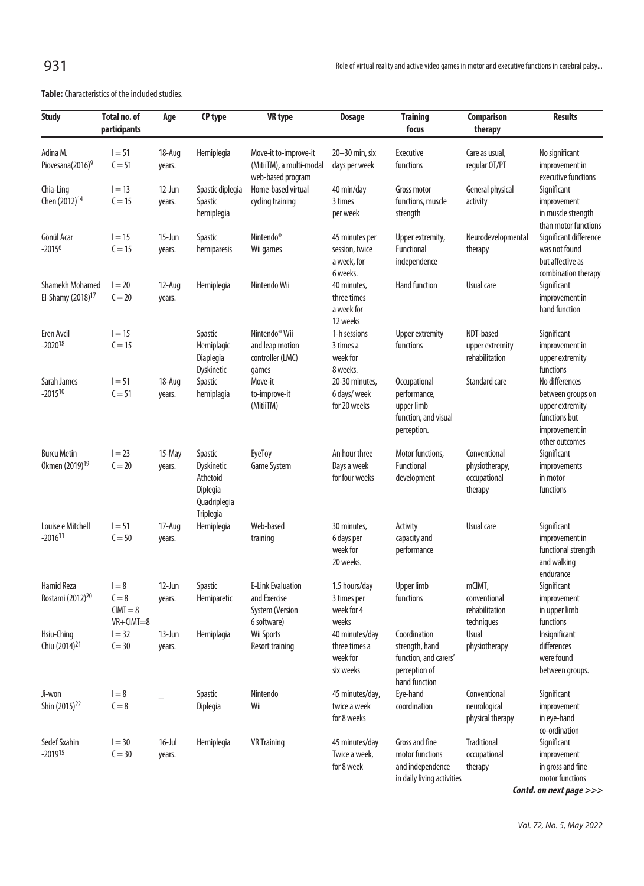**Table:** Characteristics of the included studies.

| <b>Study</b>                                            | Total no. of<br>participants                        | Age                 | CP type                                                                    | <b>VR</b> type                                                             | <b>Dosage</b>                                               | <b>Training</b><br>focus                                                                  | <b>Comparison</b><br>therapy                              | <b>Results</b>                                                                                              |
|---------------------------------------------------------|-----------------------------------------------------|---------------------|----------------------------------------------------------------------------|----------------------------------------------------------------------------|-------------------------------------------------------------|-------------------------------------------------------------------------------------------|-----------------------------------------------------------|-------------------------------------------------------------------------------------------------------------|
| Adina M.<br>Piovesana(2016) <sup>9</sup>                | $I = 51$<br>$C = 51$                                | 18-Aug<br>years.    | Hemiplegia                                                                 | Move-it to-improve-it<br>(MitiiTM), a multi-modal                          | 20-30 min, six<br>days per week                             | <b>Executive</b><br>functions                                                             | Care as usual,<br>regular OT/PT                           | No significant<br>improvement in                                                                            |
| Chia-Ling<br>Chen (2012) <sup>14</sup>                  | $I = 13$<br>$C = 15$                                | $12$ -Jun<br>years. | Spastic diplegia<br>Spastic<br>hemiplegia                                  | web-based program<br>Home-based virtual<br>cycling training                | 40 min/day<br>3 times<br>per week                           | Gross motor<br>functions, muscle<br>strength                                              | General physical<br>activity                              | executive functions<br>Significant<br>improvement<br>in muscle strength<br>than motor functions             |
| Gönül Acar<br>$-20156$                                  | $I = 15$<br>$C = 15$                                | 15-Jun<br>years.    | Spastic<br>hemiparesis                                                     | Nintendo <sup>®</sup><br>Wii games                                         | 45 minutes per<br>session, twice<br>a week, for<br>6 weeks. | Upper extremity,<br>Functional<br>independence                                            | Neurodevelopmental<br>therapy                             | Significant difference<br>was not found<br>but affective as<br>combination therapy                          |
| <b>Shamekh Mohamed</b><br>El-Shamy (2018) <sup>17</sup> | $I = 20$<br>$C = 20$                                | 12-Aug<br>years.    | Hemiplegia                                                                 | Nintendo Wii                                                               | 40 minutes,<br>three times<br>a week for<br>12 weeks        | Hand function                                                                             | Usual care                                                | Significant<br>improvement in<br>hand function                                                              |
| Eren Avcil<br>$-2020^{18}$                              | $I = 15$<br>$C = 15$                                |                     | Spastic<br>Hemiplagic<br>Diaplegia<br>Dyskinetic                           | Nintendo <sup>®</sup> Wii<br>and leap motion<br>controller (LMC)<br>games  | 1-h sessions<br>3 times a<br>week for<br>8 weeks.           | Upper extremity<br>functions                                                              | NDT-based<br>upper extremity<br>rehabilitation            | Significant<br>improvement in<br>upper extremity<br>functions                                               |
| Sarah James<br>$-2015^{10}$                             | $1 = 51$<br>$C = 51$                                | 18-Aug<br>years.    | Spastic<br>hemiplagia                                                      | Move-it<br>to-improve-it<br>(MitiiTM)                                      | 20-30 minutes,<br>6 days/ week<br>for 20 weeks              | Occupational<br>performance,<br>upper limb<br>function, and visual<br>perception.         | Standard care                                             | No differences<br>between groups on<br>upper extremity<br>functions but<br>improvement in<br>other outcomes |
| <b>Burcu Metin</b><br>Ökmen (2019) <sup>19</sup>        | $I = 23$<br>$C = 20$                                | 15-May<br>years.    | Spastic<br>Dyskinetic<br>Athetoid<br>Diplegia<br>Quadriplegia<br>Triplegia | EyeToy<br>Game System                                                      | An hour three<br>Days a week<br>for four weeks              | Motor functions,<br>Functional<br>development                                             | Conventional<br>physiotherapy,<br>occupational<br>therapy | Significant<br>improvements<br>in motor<br>functions                                                        |
| Louise e Mitchell<br>$-2016$ <sup>11</sup>              | $1 = 51$<br>$C = 50$                                | 17-Aug<br>years.    | Hemiplegia                                                                 | Web-based<br>training                                                      | 30 minutes,<br>6 days per<br>week for<br>20 weeks.          | Activity<br>capacity and<br>performance                                                   | Usual care                                                | Significant<br>improvement in<br>functional strength<br>and walking<br>endurance                            |
| <b>Hamid Reza</b><br>Rostami (2012) <sup>20</sup>       | $I = 8$<br>$C = 8$<br>$CIMT = 8$<br>$VR + CIMT = 8$ | 12-Jun<br>years.    | Spastic<br>Hemiparetic                                                     | <b>E-Link Evaluation</b><br>and Exercise<br>System (Version<br>6 software) | 1.5 hours/day<br>3 times per<br>week for 4<br>weeks         | <b>Upper limb</b><br>functions                                                            | mCIMT,<br>conventional<br>rehabilitation<br>techniques    | Significant<br>improvement<br>in upper limb<br>functions                                                    |
| Hsiu-Ching<br>Chiu (2014) <sup>21</sup>                 | $I = 32$<br>$C = 30$                                | 13-Jun<br>years.    | Hemiplagia                                                                 | Wii Sports<br>Resort training                                              | 40 minutes/day<br>three times a<br>week for<br>six weeks    | Coordination<br>strength, hand<br>function, and carers'<br>perception of<br>hand function | <b>Usual</b><br>physiotherapy                             | Insignificant<br>differences<br>were found<br>between groups.                                               |
| Ji-won<br>Shin (2015) <sup>22</sup>                     | $I = 8$<br>$C = 8$                                  |                     | Spastic<br>Diplegia                                                        | Nintendo<br>Wii                                                            | 45 minutes/day,<br>twice a week<br>for 8 weeks              | Eye-hand<br>coordination                                                                  | Conventional<br>neurological<br>physical therapy          | Significant<br>improvement<br>in eye-hand<br>co-ordination                                                  |
| Sedef Sxahin<br>$-2019$ <sup>15</sup>                   | $I = 30$<br>$C = 30$                                | $16$ -Jul<br>years. | Hemiplegia                                                                 | <b>VR</b> Training                                                         | 45 minutes/day<br>Twice a week,<br>for 8 week               | Gross and fine<br>motor functions<br>and independence<br>in daily living activities       | <b>Traditional</b><br>occupational<br>therapy             | Significant<br>improvement<br>in gross and fine<br>motor functions                                          |

**Contd. on next page >>>**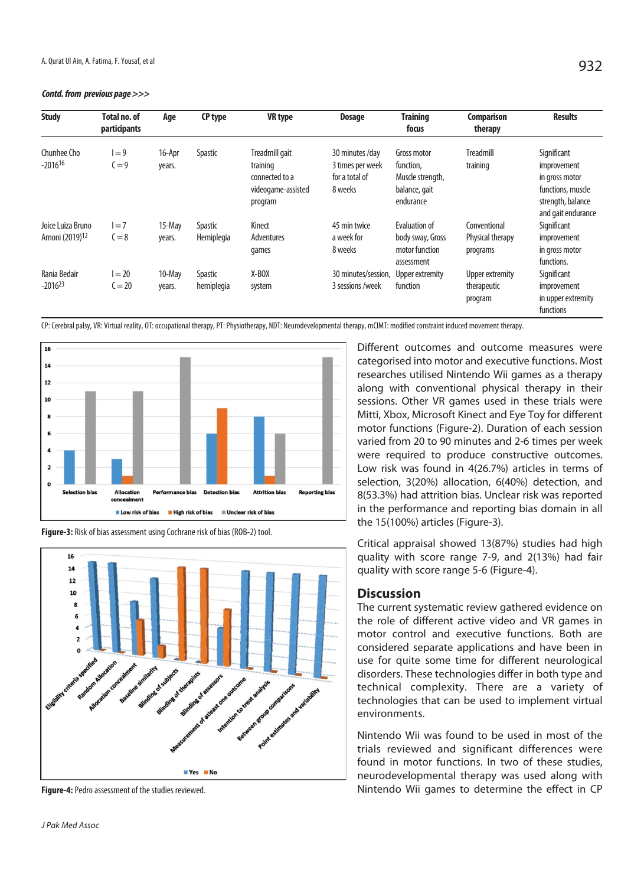**Contd. from previous page >>>**

| <b>Study</b>                                     | Total no. of<br>participants | Age              | CP type                      | <b>VR</b> type                                                                | <b>Dosage</b>                                                    | <b>Training</b><br>focus                                                   | <b>Comparison</b><br>therapy                 | <b>Results</b>                                                                                               |
|--------------------------------------------------|------------------------------|------------------|------------------------------|-------------------------------------------------------------------------------|------------------------------------------------------------------|----------------------------------------------------------------------------|----------------------------------------------|--------------------------------------------------------------------------------------------------------------|
| Chunhee Cho<br>$-2016^{16}$                      | $= 9$<br>$C = 9$             | 16-Apr<br>years. | Spastic                      | Treadmill gait<br>training<br>connected to a<br>videogame-assisted<br>program | 30 minutes /day<br>3 times per week<br>for a total of<br>8 weeks | Gross motor<br>function,<br>Muscle strength,<br>balance, gait<br>endurance | Treadmill<br>training                        | Significant<br>improvement<br>in gross motor<br>functions, muscle<br>strength, balance<br>and gait endurance |
| Joice Luiza Bruno<br>Arnoni (2019) <sup>12</sup> | $=7$<br>$C = 8$              | 15-May<br>years. | <b>Spastic</b><br>Hemiplegia | Kinect<br>Adventures<br>games                                                 | 45 min twice<br>a week for<br>8 weeks                            | Evaluation of<br>body sway, Gross<br>motor function<br>assessment          | Conventional<br>Physical therapy<br>programs | Significant<br>improvement<br>in gross motor<br>functions.                                                   |
| Rania Bedair<br>$-2016^{23}$                     | $=20$<br>$C = 20$            | 10-May<br>years. | Spastic<br>hemiplegia        | X-BOX<br>system                                                               | 30 minutes/session.<br>3 sessions /week                          | Upper extremity<br>function                                                | Upper extremity<br>therapeutic<br>program    | Significant<br>improvement<br>in upper extremity<br>functions                                                |

CP: Cerebral palsy, VR: Virtual reality, OT: occupational therapy, PT: Physiotherapy, NDT: Neurodevelopmental therapy, mCIMT: modified constraint induced movement therapy.



**Figure-3:** Risk of bias assessment using Cochrane risk of bias (ROB-2) tool.



**Figure-4:** Pedro assessment of the studies reviewed.

J Pak Med Assoc

Different outcomes and outcome measures were categorised into motor and executive functions. Most researches utilised Nintendo Wii games as a therapy along with conventional physical therapy in their sessions. Other VR games used in these trials were Mitti, Xbox, Microsoft Kinect and Eye Toy for different motor functions (Figure-2). Duration of each session varied from 20 to 90 minutes and 2-6 times per week were required to produce constructive outcomes. Low risk was found in 4(26.7%) articles in terms of selection, 3(20%) allocation, 6(40%) detection, and 8(53.3%) had attrition bias. Unclear risk was reported in the performance and reporting bias domain in all the 15(100%) articles (Figure-3).

Critical appraisal showed 13(87%) studies had high quality with score range 7-9, and 2(13%) had fair quality with score range 5-6 (Figure-4).

#### **Discussion**

The current systematic review gathered evidence on the role of different active video and VR games in motor control and executive functions. Both are considered separate applications and have been in use for quite some time for different neurological disorders. These technologies differ in both type and technical complexity. There are a variety of technologies that can be used to implement virtual environments.

Nintendo Wii was found to be used in most of the trials reviewed and significant differences were found in motor functions. In two of these studies, neurodevelopmental therapy was used along with Nintendo Wii games to determine the effect in CP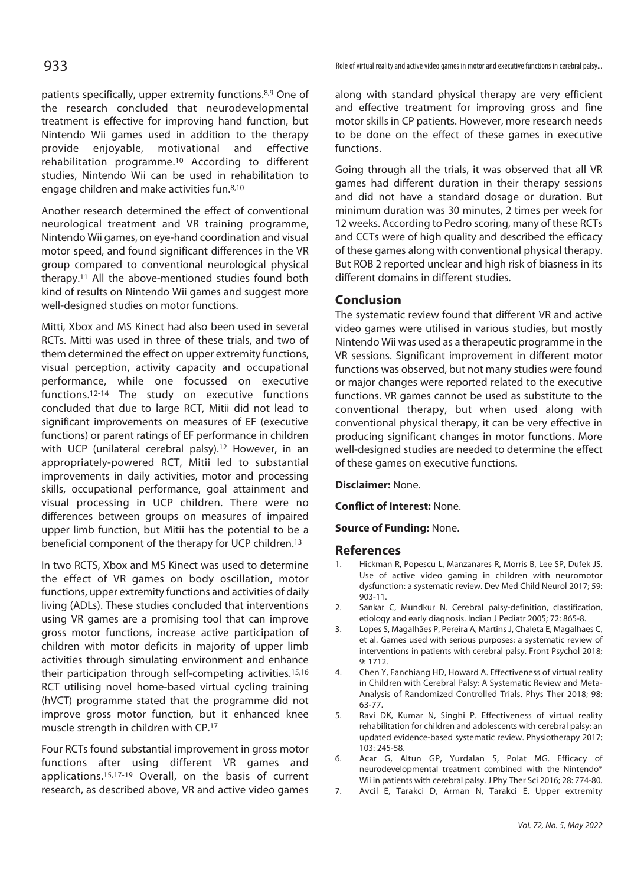patients specifically, upper extremity functions.8,9 One of the research concluded that neurodevelopmental treatment is effective for improving hand function, but Nintendo Wii games used in addition to the therapy provide enjoyable, motivational and effective rehabilitation programme.10 According to different studies, Nintendo Wii can be used in rehabilitation to engage children and make activities fun.8,10

Another research determined the effect of conventional neurological treatment and VR training programme, Nintendo Wii games, on eye-hand coordination and visual motor speed, and found significant differences in the VR group compared to conventional neurological physical therapy.11 All the above-mentioned studies found both kind of results on Nintendo Wii games and suggest more well-designed studies on motor functions.

Mitti, Xbox and MS Kinect had also been used in several RCTs. Mitti was used in three of these trials, and two of them determined the effect on upper extremity functions, visual perception, activity capacity and occupational performance, while one focussed on executive functions.12-14 The study on executive functions concluded that due to large RCT, Mitii did not lead to significant improvements on measures of EF (executive functions) or parent ratings of EF performance in children with UCP (unilateral cerebral palsy).<sup>12</sup> However, in an appropriately-powered RCT, Mitii led to substantial improvements in daily activities, motor and processing skills, occupational performance, goal attainment and visual processing in UCP children. There were no differences between groups on measures of impaired upper limb function, but Mitii has the potential to be a beneficial component of the therapy for UCP children.13

In two RCTS, Xbox and MS Kinect was used to determine the effect of VR games on body oscillation, motor functions, upper extremity functions and activities of daily living (ADLs). These studies concluded that interventions using VR games are a promising tool that can improve gross motor functions, increase active participation of children with motor deficits in majority of upper limb activities through simulating environment and enhance their participation through self-competing activities.15,16 RCT utilising novel home-based virtual cycling training (hVCT) programme stated that the programme did not improve gross motor function, but it enhanced knee muscle strength in children with CP.17

Four RCTs found substantial improvement in gross motor functions after using different VR games and applications.15,17-19 Overall, on the basis of current research, as described above, VR and active video games

**933** Role of virtual reality and active video games in motor and executive functions in cerebral palsy...

along with standard physical therapy are very efficient and effective treatment for improving gross and fine motor skills in CP patients. However, more research needs to be done on the effect of these games in executive functions.

Going through all the trials, it was observed that all VR games had different duration in their therapy sessions and did not have a standard dosage or duration. But minimum duration was 30 minutes, 2 times per week for 12 weeks. According to Pedro scoring, many of these RCTs and CCTs were of high quality and described the efficacy of these games along with conventional physical therapy. But ROB 2 reported unclear and high risk of biasness in its different domains in different studies.

#### **Conclusion**

The systematic review found that different VR and active video games were utilised in various studies, but mostly Nintendo Wii was used as a therapeutic programme in the VR sessions. Significant improvement in different motor functions was observed, but not many studies were found or major changes were reported related to the executive functions. VR games cannot be used as substitute to the conventional therapy, but when used along with conventional physical therapy, it can be very effective in producing significant changes in motor functions. More well-designed studies are needed to determine the effect of these games on executive functions.

**Disclaimer:** None.

**Conflict of Interest:** None.

**Source of Funding:** None.

#### **References**

- 1. Hickman R, Popescu L, Manzanares R, Morris B, Lee SP, Dufek JS. Use of active video gaming in children with neuromotor dysfunction: a systematic review. Dev Med Child Neurol 2017; 59: 903-11.
- 2. Sankar C, Mundkur N. Cerebral palsy-definition, classification, etiology and early diagnosis. Indian J Pediatr 2005; 72: 865-8.
- 3. Lopes S, Magalhães P, Pereira A, Martins J, Chaleta E, Magalhaes C, et al. Games used with serious purposes: a systematic review of interventions in patients with cerebral palsy. Front Psychol 2018; 9: 1712.
- 4. Chen Y, Fanchiang HD, Howard A. Effectiveness of virtual reality in Children with Cerebral Palsy: A Systematic Review and Meta-Analysis of Randomized Controlled Trials. Phys Ther 2018; 98: 63-77.
- 5. Ravi DK, Kumar N, Singhi P. Effectiveness of virtual reality rehabilitation for children and adolescents with cerebral palsy: an updated evidence-based systematic review. Physiotherapy 2017; 103: 245-58.
- 6. Acar G, Altun GP, Yurdalan S, Polat MG. Efficacy of neurodevelopmental treatment combined with the Nintendo® Wii in patients with cerebral palsy. J Phy Ther Sci 2016; 28: 774-80.
- 7. Avcil E, Tarakci D, Arman N, Tarakci E. Upper extremity